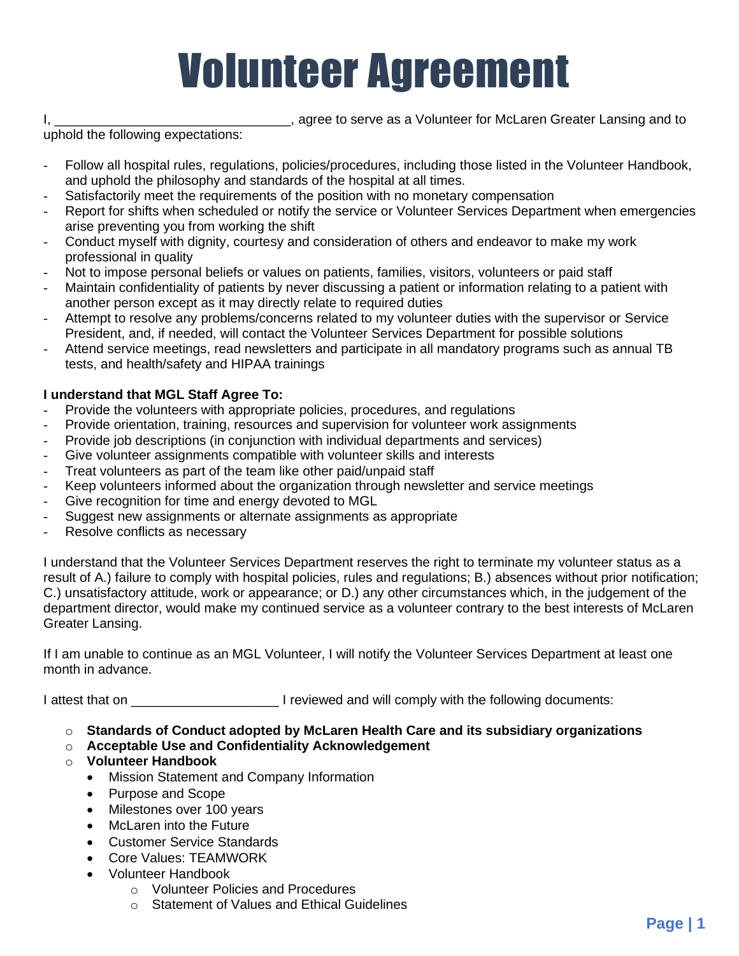## Volunteer Agreement

uphold the following expectations:

I, \_\_\_\_\_\_\_\_\_\_\_\_\_\_\_\_\_\_\_\_\_\_\_\_\_\_\_\_\_\_\_\_\_, agree to serve as a Volunteer for McLaren Greater Lansing and to

- Follow all hospital rules, regulations, policies/procedures, including those listed in the Volunteer Handbook, and uphold the philosophy and standards of the hospital at all times.
- Satisfactorily meet the requirements of the position with no monetary compensation
- Report for shifts when scheduled or notify the service or Volunteer Services Department when emergencies arise preventing you from working the shift
- Conduct myself with dignity, courtesy and consideration of others and endeavor to make my work professional in quality
- Not to impose personal beliefs or values on patients, families, visitors, volunteers or paid staff
- Maintain confidentiality of patients by never discussing a patient or information relating to a patient with another person except as it may directly relate to required duties
- Attempt to resolve any problems/concerns related to my volunteer duties with the supervisor or Service President, and, if needed, will contact the Volunteer Services Department for possible solutions
- Attend service meetings, read newsletters and participate in all mandatory programs such as annual TB tests, and health/safety and HIPAA trainings

## **I understand that MGL Staff Agree To:**

- Provide the volunteers with appropriate policies, procedures, and regulations
- Provide orientation, training, resources and supervision for volunteer work assignments
- Provide job descriptions (in conjunction with individual departments and services)
- Give volunteer assignments compatible with volunteer skills and interests
- Treat volunteers as part of the team like other paid/unpaid staff
- Keep volunteers informed about the organization through newsletter and service meetings
- Give recognition for time and energy devoted to MGL
- Suggest new assignments or alternate assignments as appropriate
- Resolve conflicts as necessary

I understand that the Volunteer Services Department reserves the right to terminate my volunteer status as a result of A.) failure to comply with hospital policies, rules and regulations; B.) absences without prior notification; C.) unsatisfactory attitude, work or appearance; or D.) any other circumstances which, in the judgement of the department director, would make my continued service as a volunteer contrary to the best interests of McLaren Greater Lansing.

If I am unable to continue as an MGL Volunteer, I will notify the Volunteer Services Department at least one month in advance.

I attest that on **I** reviewed and will comply with the following documents:

- o **Standards of Conduct adopted by McLaren Health Care and its subsidiary organizations**
- o **Acceptable Use and Confidentiality Acknowledgement**
- o **Volunteer Handbook**
	- Mission Statement and Company Information
	- Purpose and Scope
	- Milestones over 100 years
	- McLaren into the Future
	- Customer Service Standards
	- Core Values: TEAMWORK
	- Volunteer Handbook
		- o Volunteer Policies and Procedures
		- o Statement of Values and Ethical Guidelines